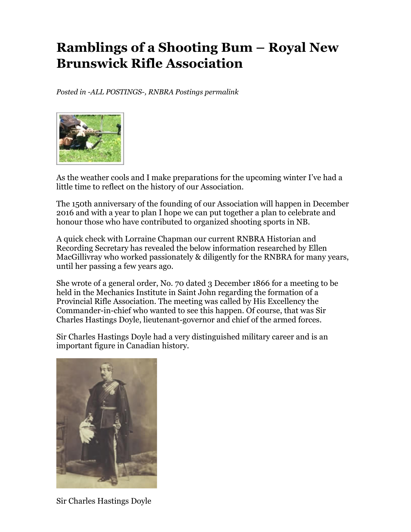## **Ramblings of a Shooting Bum – Royal New Brunswick Rifle Association**

*Posted in -ALL POSTINGS-, RNBRA Postings permalink*



As the weather cools and I make preparations for the upcoming winter I've had a little time to reflect on the history of our Association.

The 150th anniversary of the founding of our Association will happen in December 2016 and with a year to plan I hope we can put together a plan to celebrate and honour those who have contributed to organized shooting sports in NB.

A quick check with Lorraine Chapman our current RNBRA Historian and Recording Secretary has revealed the below information researched by Ellen MacGillivray who worked passionately & diligently for the RNBRA for many years, until her passing a few years ago.

She wrote of a general order, No. 70 dated 3 December 1866 for a meeting to be held in the Mechanics Institute in Saint John regarding the formation of a Provincial Rifle Association. The meeting was called by His Excellency the Commander-in-chief who wanted to see this happen. Of course, that was Sir Charles Hastings Doyle, lieutenant-governor and chief of the armed forces.

Sir Charles Hastings Doyle had a very distinguished military career and is an important figure in Canadian history.



Sir Charles Hastings Doyle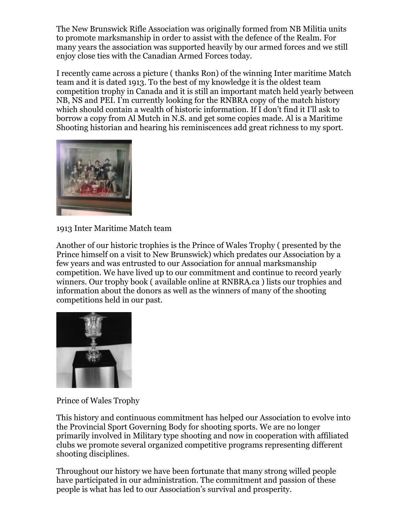The New Brunswick Rifle Association was originally formed from NB Militia units to promote marksmanship in order to assist with the defence of the Realm. For many years the association was supported heavily by our armed forces and we still enjoy close ties with the Canadian Armed Forces today.

I recently came across a picture ( thanks Ron) of the winning Inter maritime Match team and it is dated 1913. To the best of my knowledge it is the oldest team competition trophy in Canada and it is still an important match held yearly between NB, NS and PEI. I'm currently looking for the RNBRA copy of the match history which should contain a wealth of historic information. If I don't find it I'll ask to borrow a copy from Al Mutch in N.S. and get some copies made. Al is a Maritime Shooting historian and hearing his reminiscences add great richness to my sport.



1913 Inter Maritime Match team

Another of our historic trophies is the Prince of Wales Trophy ( presented by the Prince himself on a visit to New Brunswick) which predates our Association by a few years and was entrusted to our Association for annual marksmanship competition. We have lived up to our commitment and continue to record yearly winners. Our trophy book ( available online at RNBRA.ca ) lists our trophies and information about the donors as well as the winners of many of the shooting competitions held in our past.



Prince of Wales Trophy

This history and continuous commitment has helped our Association to evolve into the Provincial Sport Governing Body for shooting sports. We are no longer primarily involved in Military type shooting and now in cooperation with affiliated clubs we promote several organized competitive programs representing different shooting disciplines.

Throughout our history we have been fortunate that many strong willed people have participated in our administration. The commitment and passion of these people is what has led to our Association's survival and prosperity.